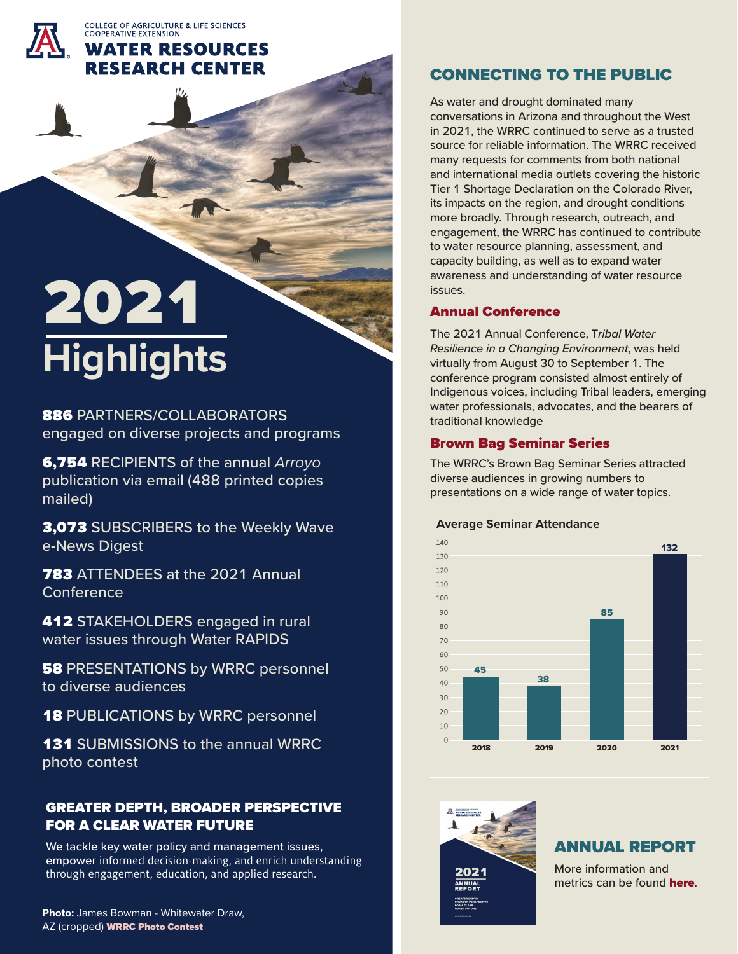COLLEGE OF AGRICULTURE & LIFE SCIENCES

## **COOPERATIVE EXTENSION WATER RESOURCES RESEARCH CENTER**

# 2021 **Highlights**

886 PARTNERS/COLLABORATORS engaged on diverse projects and programs

6,754 RECIPIENTS of the annual *Arroyo* publication via email (488 printed copies mailed)

3,073 SUBSCRIBERS to the Weekly Wave e-News Digest

**783 ATTENDEES at the 2021 Annual Conference** 

**412 STAKEHOLDERS engaged in rural** water issues through Water RAPIDS

**58 PRESENTATIONS by WRRC personnel** to diverse audiences

**18 PUBLICATIONS by WRRC personnel** 

**131 SUBMISSIONS to the annual WRRC** photo contest

# GREATER DEPTH, BROADER PERSPECTIVE FOR A CLEAR WATER FUTURE

We tackle key water policy and management issues, empower informed decision-making, and enrich understanding through engagement, education, and applied research.

# CONNECTING TO THE PUBLIC

As water and drought dominated many conversations in Arizona and throughout the West in 2021, the WRRC continued to serve as a trusted source for reliable information. The WRRC received many requests for comments from both national and international media outlets covering the historic Tier 1 Shortage Declaration on the Colorado River, its impacts on the region, and drought conditions more broadly. Through research, outreach, and engagement, the WRRC has continued to contribute to water resource planning, assessment, and capacity building, as well as to expand water awareness and understanding of water resource issues.

## [Annual Conference](https://wrrc.arizona.edu/conference/2021)

The 2021 Annual Conference, T*ribal Water Resilience in a Changing Environment*, was held virtually from August 30 to September 1. The conference program consisted almost entirely of Indigenous voices, including Tribal leaders, emerging water professionals, advocates, and the bearers of traditional knowledge

#### [Brown Bag Seminar Series](https://wrrc.arizona.edu/brown-bag-seminars)

The WRRC's Brown Bag Seminar Series attracted diverse audiences in growing numbers to presentations on a wide range of water topics.

#### **Average Seminar Attendance**





# ANNUAL REPORT

More information and metrics can be found **[here](https://wrrc.arizona.edu/about#annual-reports)**.